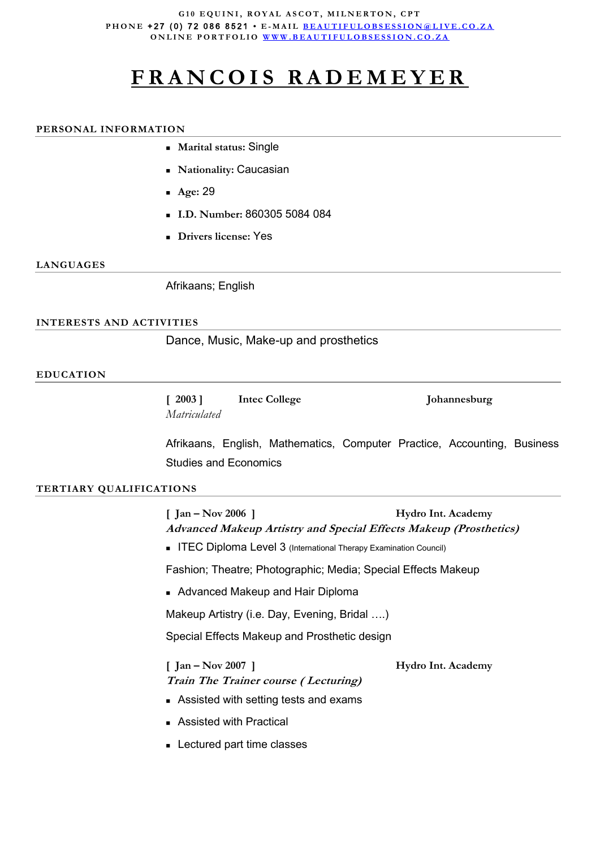#### **G10 EQUINI, ROYAL ASCOT, MILNERTON, CPT P H O N E** + 2 7 ( 0 ) 7 2 0 8 6 8 5 2 1 **• E - M A I L [B E A U T I F U L O B S E S S I O N @ L](mailto:beautifulobsession@live.co.za) I V E . C O . Z A ONLINE PORTFOLIO WWW.BEAUTIFULOBSESSION.CO.ZA**

# **F R A N C O I S R A D E M E Y E R**

#### **PERSONAL INFORMATION**

- **Marital status:** Single
- **Nationality:** Caucasian
- **Age:** 29
- **I.D. Number:** 860305 5084 084
- **Drivers license:** Yes

#### **LANGUAGES**

Afrikaans; English

#### **INTERESTS AND ACTIVITIES**

Dance, Music, Make-up and prosthetics

#### **EDUCATION**

| [2003]       | Intec College | Johannesburg |
|--------------|---------------|--------------|
| Matriculated |               |              |

Afrikaans, English, Mathematics, Computer Practice, Accounting, Business Studies and Economics

#### **TERTIARY QUALIFICATIONS**

**[ Jan – Nov 2006 ] Hydro Int. Academy Advanced Makeup Artistry and Special Effects Makeup (Prosthetics)** 

**ITEC Diploma Level 3** (International Therapy Examination Council)

Fashion; Theatre; Photographic; Media; Special Effects Makeup

**Advanced Makeup and Hair Diploma** 

Makeup Artistry (i.e. Day, Evening, Bridal ….)

Special Effects Makeup and Prosthetic design

**[ Jan – Nov 2007 ] Hydro Int. Academy Train The Trainer course ( Lecturing)**

- Assisted with setting tests and exams
- Assisted with Practical
- **Lectured part time classes**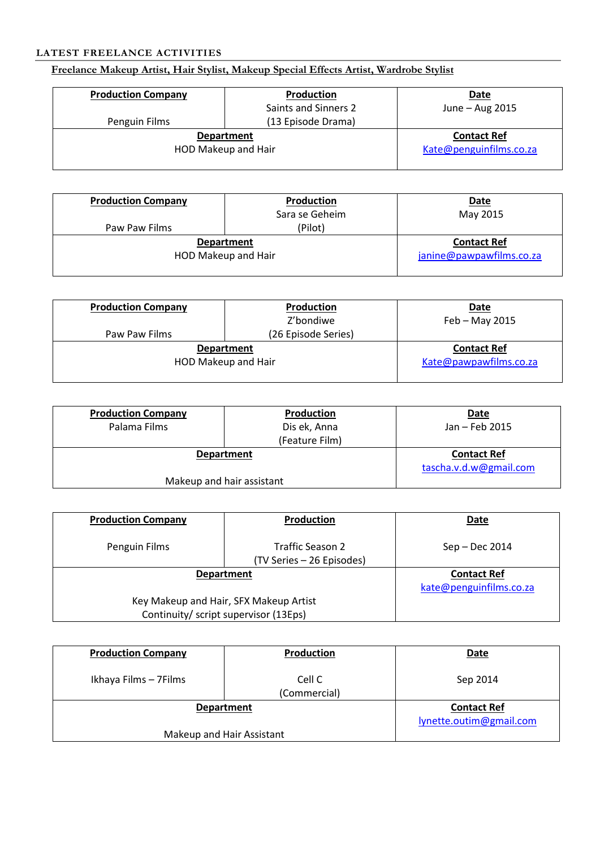### **LATEST FREELANCE ACTIVITIES**

## **Freelance Makeup Artist, Hair Stylist, Makeup Special Effects Artist, Wardrobe Stylist**

| <b>Production Company</b> | Production           | <b>Date</b>             |
|---------------------------|----------------------|-------------------------|
|                           | Saints and Sinners 2 | June - Aug 2015         |
| Penguin Films             | (13 Episode Drama)   |                         |
|                           | <b>Department</b>    | <b>Contact Ref</b>      |
|                           | HOD Makeup and Hair  | Kate@penguinfilms.co.za |
|                           |                      |                         |

| <b>Production Company</b> | <b>Production</b>   | <b>Date</b>              |
|---------------------------|---------------------|--------------------------|
|                           | Sara se Geheim      | May 2015                 |
| Paw Paw Films             | (Pilot)             |                          |
|                           | <b>Department</b>   | <b>Contact Ref</b>       |
|                           | HOD Makeup and Hair | janine@pawpawfilms.co.za |
|                           |                     |                          |

| <b>Production Company</b> | Production          | <b>Date</b>            |
|---------------------------|---------------------|------------------------|
|                           | Z'bondiwe           | $Feb - May 2015$       |
| Paw Paw Films             | (26 Episode Series) |                        |
|                           | <b>Department</b>   | <b>Contact Ref</b>     |
|                           | HOD Makeup and Hair | Kate@pawpawfilms.co.za |
|                           |                     |                        |

| <b>Production Company</b> | Production     | <b>Date</b>            |
|---------------------------|----------------|------------------------|
| Palama Films              | Dis ek, Anna   | Jan - Feb 2015         |
|                           | (Feature Film) |                        |
| <b>Department</b>         |                | <b>Contact Ref</b>     |
|                           |                | tascha.v.d.w@gmail.com |
| Makeup and hair assistant |                |                        |

| <b>Production Company</b>              | Production                                           | Date                    |
|----------------------------------------|------------------------------------------------------|-------------------------|
| Penguin Films                          | <b>Traffic Season 2</b><br>(TV Series - 26 Episodes) | $Sep - Dec 2014$        |
|                                        | <b>Department</b>                                    | <b>Contact Ref</b>      |
|                                        |                                                      | kate@penguinfilms.co.za |
| Key Makeup and Hair, SFX Makeup Artist |                                                      |                         |
|                                        | Continuity/ script supervisor (13Eps)                |                         |

| <b>Production Company</b> | Production             | Date                    |
|---------------------------|------------------------|-------------------------|
| Ikhaya Films - 7Films     | Cell C<br>(Commercial) | Sep 2014                |
| <b>Department</b>         |                        | <b>Contact Ref</b>      |
| Makeup and Hair Assistant |                        | lynette.outim@gmail.com |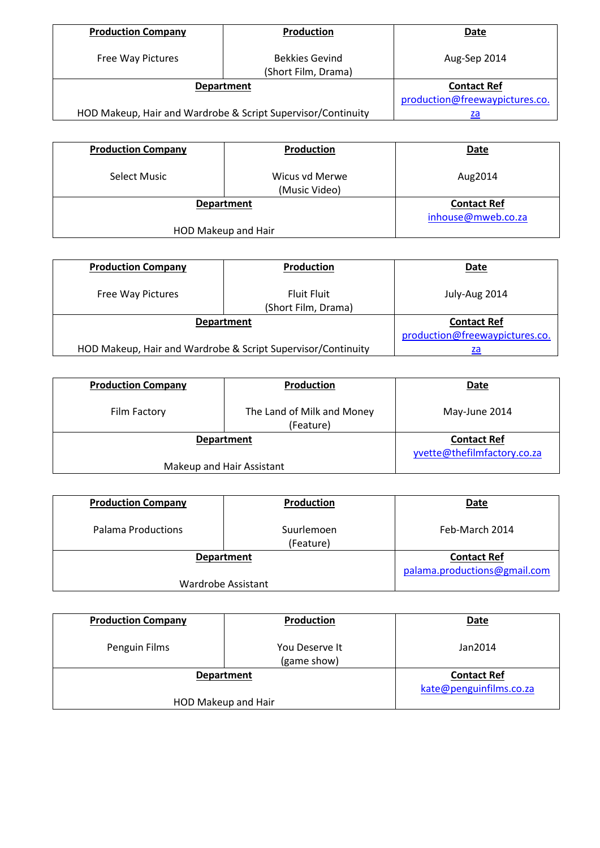| <b>Production Company</b> | Production                                                   | Date                           |
|---------------------------|--------------------------------------------------------------|--------------------------------|
| Free Way Pictures         | <b>Bekkies Gevind</b><br>(Short Film, Drama)                 | Aug-Sep 2014                   |
|                           | <b>Department</b>                                            | <b>Contact Ref</b>             |
|                           |                                                              | production@freewaypictures.co. |
|                           | HOD Makeup, Hair and Wardrobe & Script Supervisor/Continuity | za                             |

| <b>Production Company</b> | Production                      | <b>Date</b>        |
|---------------------------|---------------------------------|--------------------|
| <b>Select Music</b>       | Wicus vd Merwe<br>(Music Video) | Aug2014            |
|                           | <b>Department</b>               | <b>Contact Ref</b> |
|                           |                                 | inhouse@mweb.co.za |
| HOD Makeup and Hair       |                                 |                    |

| <b>Production Company</b> | <b>Production</b>                                            | Date                           |
|---------------------------|--------------------------------------------------------------|--------------------------------|
| Free Way Pictures         | <b>Fluit Fluit</b><br>(Short Film, Drama)                    | July-Aug 2014                  |
|                           | <b>Department</b>                                            | <b>Contact Ref</b>             |
|                           |                                                              | production@freewaypictures.co. |
|                           | HOD Makeup, Hair and Wardrobe & Script Supervisor/Continuity | za                             |

| <b>Production Company</b> | Production                              | <b>Date</b>                 |
|---------------------------|-----------------------------------------|-----------------------------|
| Film Factory              | The Land of Milk and Money<br>(Feature) | May-June 2014               |
|                           | <b>Department</b>                       | <b>Contact Ref</b>          |
|                           |                                         | yvette@thefilmfactory.co.za |
| Makeup and Hair Assistant |                                         |                             |

| <b>Production Company</b> | <b>Production</b>       | Date                         |
|---------------------------|-------------------------|------------------------------|
| Palama Productions        | Suurlemoen<br>(Feature) | Feb-March 2014               |
|                           | <b>Department</b>       | <b>Contact Ref</b>           |
|                           |                         | palama.productions@gmail.com |
| Wardrobe Assistant        |                         |                              |

| <b>Production Company</b> | Production                    | <b>Date</b>                                   |
|---------------------------|-------------------------------|-----------------------------------------------|
| Penguin Films             | You Deserve It<br>(game show) | Jan2014                                       |
| <b>Department</b>         |                               | <b>Contact Ref</b><br>kate@penguinfilms.co.za |
|                           | HOD Makeup and Hair           |                                               |